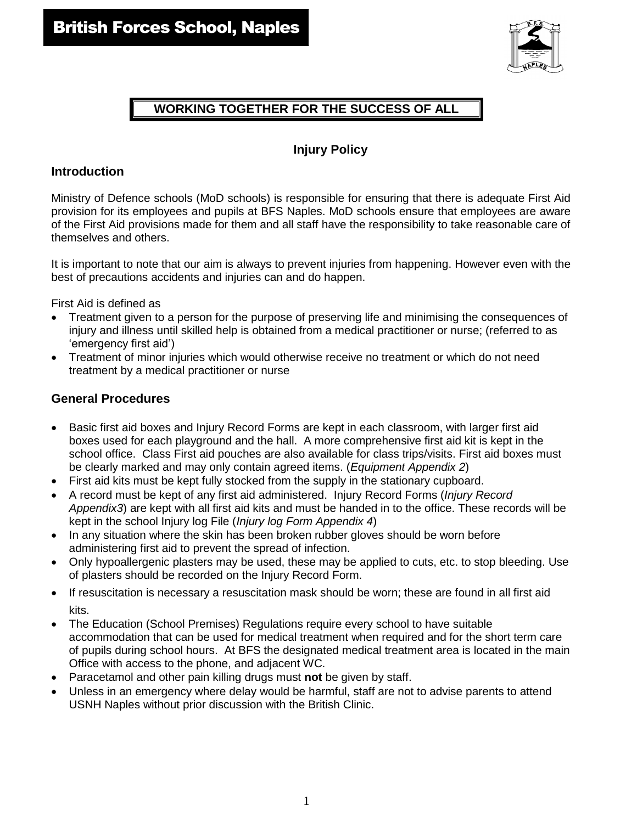

# **WORKING TOGETHER FOR THE SUCCESS OF ALL**

# **Injury Policy**

## **Introduction**

Ministry of Defence schools (MoD schools) is responsible for ensuring that there is adequate First Aid provision for its employees and pupils at BFS Naples. MoD schools ensure that employees are aware of the First Aid provisions made for them and all staff have the responsibility to take reasonable care of themselves and others.

It is important to note that our aim is always to prevent injuries from happening. However even with the best of precautions accidents and injuries can and do happen.

First Aid is defined as

- Treatment given to a person for the purpose of preserving life and minimising the consequences of injury and illness until skilled help is obtained from a medical practitioner or nurse; (referred to as 'emergency first aid')
- Treatment of minor injuries which would otherwise receive no treatment or which do not need treatment by a medical practitioner or nurse

## **General Procedures**

- Basic first aid boxes and Injury Record Forms are kept in each classroom, with larger first aid boxes used for each playground and the hall. A more comprehensive first aid kit is kept in the school office. Class First aid pouches are also available for class trips/visits. First aid boxes must be clearly marked and may only contain agreed items. (*Equipment Appendix 2*)
- First aid kits must be kept fully stocked from the supply in the stationary cupboard.
- A record must be kept of any first aid administered. Injury Record Forms (*Injury Record Appendix3*) are kept with all first aid kits and must be handed in to the office. These records will be kept in the school Injury log File (*Injury log Form Appendix 4*)
- In any situation where the skin has been broken rubber gloves should be worn before administering first aid to prevent the spread of infection.
- Only hypoallergenic plasters may be used, these may be applied to cuts, etc. to stop bleeding. Use of plasters should be recorded on the Injury Record Form.
- If resuscitation is necessary a resuscitation mask should be worn; these are found in all first aid kits.
- The Education (School Premises) Regulations require every school to have suitable accommodation that can be used for medical treatment when required and for the short term care of pupils during school hours. At BFS the designated medical treatment area is located in the main Office with access to the phone, and adjacent WC.
- Paracetamol and other pain killing drugs must **not** be given by staff.
- Unless in an emergency where delay would be harmful, staff are not to advise parents to attend USNH Naples without prior discussion with the British Clinic.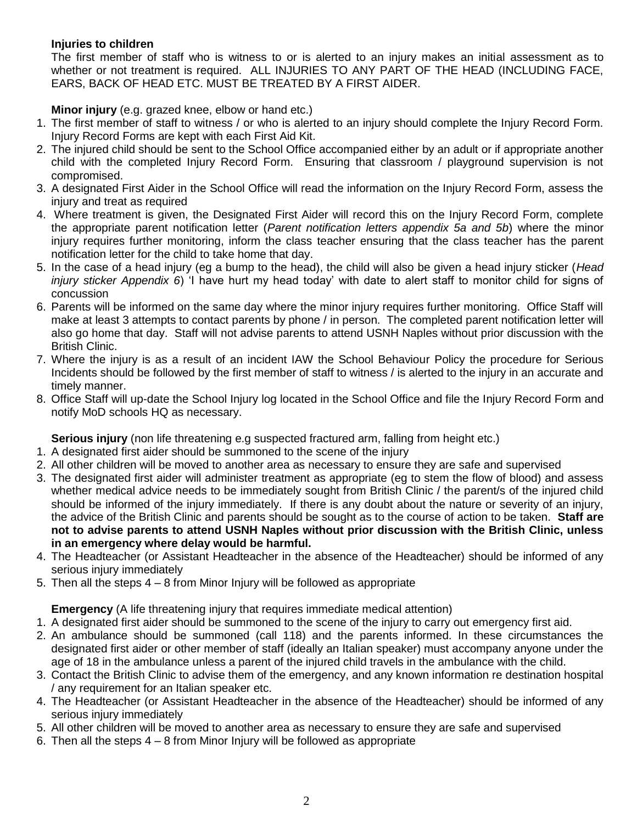## **Injuries to children**

The first member of staff who is witness to or is alerted to an injury makes an initial assessment as to whether or not treatment is required. ALL INJURIES TO ANY PART OF THE HEAD (INCLUDING FACE, EARS, BACK OF HEAD ETC. MUST BE TREATED BY A FIRST AIDER.

## **Minor injury** (e.g. grazed knee, elbow or hand etc.)

- 1. The first member of staff to witness / or who is alerted to an injury should complete the Injury Record Form. Injury Record Forms are kept with each First Aid Kit.
- 2. The injured child should be sent to the School Office accompanied either by an adult or if appropriate another child with the completed Injury Record Form. Ensuring that classroom / playground supervision is not compromised.
- 3. A designated First Aider in the School Office will read the information on the Injury Record Form, assess the injury and treat as required
- 4. Where treatment is given, the Designated First Aider will record this on the Injury Record Form, complete the appropriate parent notification letter (*Parent notification letters appendix 5a and 5b*) where the minor injury requires further monitoring, inform the class teacher ensuring that the class teacher has the parent notification letter for the child to take home that day.
- 5. In the case of a head injury (eg a bump to the head), the child will also be given a head injury sticker (*Head injury sticker Appendix 6*) 'I have hurt my head today' with date to alert staff to monitor child for signs of concussion
- 6. Parents will be informed on the same day where the minor injury requires further monitoring. Office Staff will make at least 3 attempts to contact parents by phone / in person. The completed parent notification letter will also go home that day. Staff will not advise parents to attend USNH Naples without prior discussion with the British Clinic.
- 7. Where the injury is as a result of an incident IAW the School Behaviour Policy the procedure for Serious Incidents should be followed by the first member of staff to witness / is alerted to the injury in an accurate and timely manner.
- 8. Office Staff will up-date the School Injury log located in the School Office and file the Injury Record Form and notify MoD schools HQ as necessary.

**Serious injury** (non life threatening e.g suspected fractured arm, falling from height etc.)

- 1. A designated first aider should be summoned to the scene of the injury
- 2. All other children will be moved to another area as necessary to ensure they are safe and supervised
- 3. The designated first aider will administer treatment as appropriate (eg to stem the flow of blood) and assess whether medical advice needs to be immediately sought from British Clinic / the parent/s of the injured child should be informed of the injury immediately. If there is any doubt about the nature or severity of an injury, the advice of the British Clinic and parents should be sought as to the course of action to be taken. **Staff are not to advise parents to attend USNH Naples without prior discussion with the British Clinic, unless in an emergency where delay would be harmful.**
- 4. The Headteacher (or Assistant Headteacher in the absence of the Headteacher) should be informed of any serious injury immediately
- 5. Then all the steps 4 8 from Minor Injury will be followed as appropriate

**Emergency** (A life threatening injury that requires immediate medical attention)

- 1. A designated first aider should be summoned to the scene of the injury to carry out emergency first aid.
- 2. An ambulance should be summoned (call 118) and the parents informed. In these circumstances the designated first aider or other member of staff (ideally an Italian speaker) must accompany anyone under the age of 18 in the ambulance unless a parent of the injured child travels in the ambulance with the child.
- 3. Contact the British Clinic to advise them of the emergency, and any known information re destination hospital / any requirement for an Italian speaker etc.
- 4. The Headteacher (or Assistant Headteacher in the absence of the Headteacher) should be informed of any serious injury immediately
- 5. All other children will be moved to another area as necessary to ensure they are safe and supervised
- 6. Then all the steps 4 8 from Minor Injury will be followed as appropriate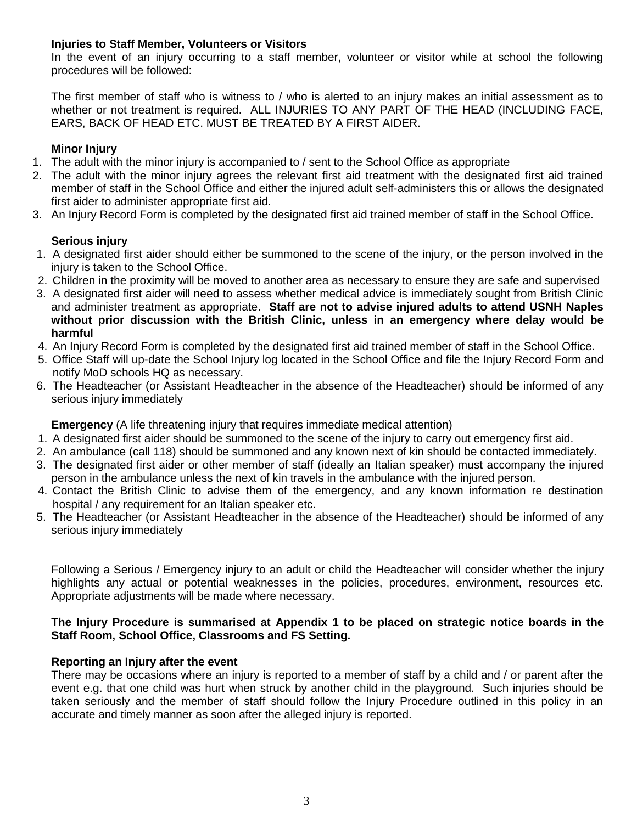### **Injuries to Staff Member, Volunteers or Visitors**

In the event of an injury occurring to a staff member, volunteer or visitor while at school the following procedures will be followed:

The first member of staff who is witness to / who is alerted to an injury makes an initial assessment as to whether or not treatment is required. ALL INJURIES TO ANY PART OF THE HEAD (INCLUDING FACE, EARS, BACK OF HEAD ETC. MUST BE TREATED BY A FIRST AIDER.

## **Minor Injury**

- 1. The adult with the minor injury is accompanied to / sent to the School Office as appropriate
- 2. The adult with the minor injury agrees the relevant first aid treatment with the designated first aid trained member of staff in the School Office and either the injured adult self-administers this or allows the designated first aider to administer appropriate first aid.
- 3. An Injury Record Form is completed by the designated first aid trained member of staff in the School Office.

## **Serious injury**

- 1. A designated first aider should either be summoned to the scene of the injury, or the person involved in the injury is taken to the School Office.
- 2. Children in the proximity will be moved to another area as necessary to ensure they are safe and supervised
- 3. A designated first aider will need to assess whether medical advice is immediately sought from British Clinic and administer treatment as appropriate. **Staff are not to advise injured adults to attend USNH Naples without prior discussion with the British Clinic, unless in an emergency where delay would be harmful**
- 4. An Injury Record Form is completed by the designated first aid trained member of staff in the School Office.
- 5. Office Staff will up-date the School Injury log located in the School Office and file the Injury Record Form and notify MoD schools HQ as necessary.
- 6. The Headteacher (or Assistant Headteacher in the absence of the Headteacher) should be informed of any serious injury immediately

**Emergency** (A life threatening injury that requires immediate medical attention)

- 1. A designated first aider should be summoned to the scene of the injury to carry out emergency first aid.
- 2. An ambulance (call 118) should be summoned and any known next of kin should be contacted immediately.
- 3. The designated first aider or other member of staff (ideally an Italian speaker) must accompany the injured person in the ambulance unless the next of kin travels in the ambulance with the injured person.
- 4. Contact the British Clinic to advise them of the emergency, and any known information re destination hospital / any requirement for an Italian speaker etc.
- 5. The Headteacher (or Assistant Headteacher in the absence of the Headteacher) should be informed of any serious injury immediately

Following a Serious / Emergency injury to an adult or child the Headteacher will consider whether the injury highlights any actual or potential weaknesses in the policies, procedures, environment, resources etc. Appropriate adjustments will be made where necessary.

### **The Injury Procedure is summarised at Appendix 1 to be placed on strategic notice boards in the Staff Room, School Office, Classrooms and FS Setting.**

### **Reporting an Injury after the event**

There may be occasions where an injury is reported to a member of staff by a child and / or parent after the event e.g. that one child was hurt when struck by another child in the playground. Such injuries should be taken seriously and the member of staff should follow the Injury Procedure outlined in this policy in an accurate and timely manner as soon after the alleged injury is reported.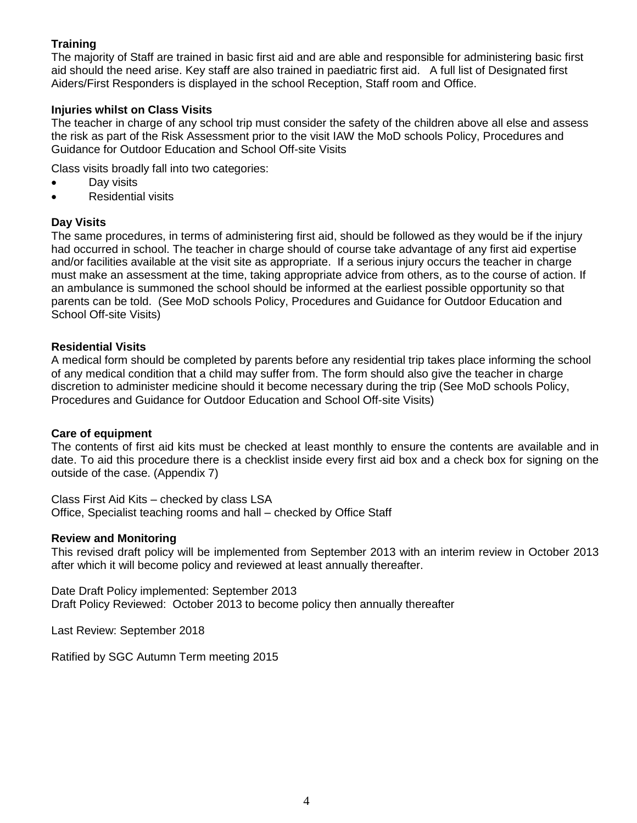## **Training**

The majority of Staff are trained in basic first aid and are able and responsible for administering basic first aid should the need arise. Key staff are also trained in paediatric first aid. A full list of Designated first Aiders/First Responders is displayed in the school Reception, Staff room and Office.

#### **Injuries whilst on Class Visits**

The teacher in charge of any school trip must consider the safety of the children above all else and assess the risk as part of the Risk Assessment prior to the visit IAW the MoD schools Policy, Procedures and Guidance for Outdoor Education and School Off-site Visits

Class visits broadly fall into two categories:

- Day visits
- Residential visits

#### **Day Visits**

The same procedures, in terms of administering first aid, should be followed as they would be if the injury had occurred in school. The teacher in charge should of course take advantage of any first aid expertise and/or facilities available at the visit site as appropriate. If a serious injury occurs the teacher in charge must make an assessment at the time, taking appropriate advice from others, as to the course of action. If an ambulance is summoned the school should be informed at the earliest possible opportunity so that parents can be told. (See MoD schools Policy, Procedures and Guidance for Outdoor Education and School Off-site Visits)

#### **Residential Visits**

A medical form should be completed by parents before any residential trip takes place informing the school of any medical condition that a child may suffer from. The form should also give the teacher in charge discretion to administer medicine should it become necessary during the trip (See MoD schools Policy, Procedures and Guidance for Outdoor Education and School Off-site Visits)

#### **Care of equipment**

The contents of first aid kits must be checked at least monthly to ensure the contents are available and in date. To aid this procedure there is a checklist inside every first aid box and a check box for signing on the outside of the case. (Appendix 7)

Class First Aid Kits – checked by class LSA Office, Specialist teaching rooms and hall – checked by Office Staff

#### **Review and Monitoring**

This revised draft policy will be implemented from September 2013 with an interim review in October 2013 after which it will become policy and reviewed at least annually thereafter.

Date Draft Policy implemented: September 2013 Draft Policy Reviewed: October 2013 to become policy then annually thereafter

Last Review: September 2018

Ratified by SGC Autumn Term meeting 2015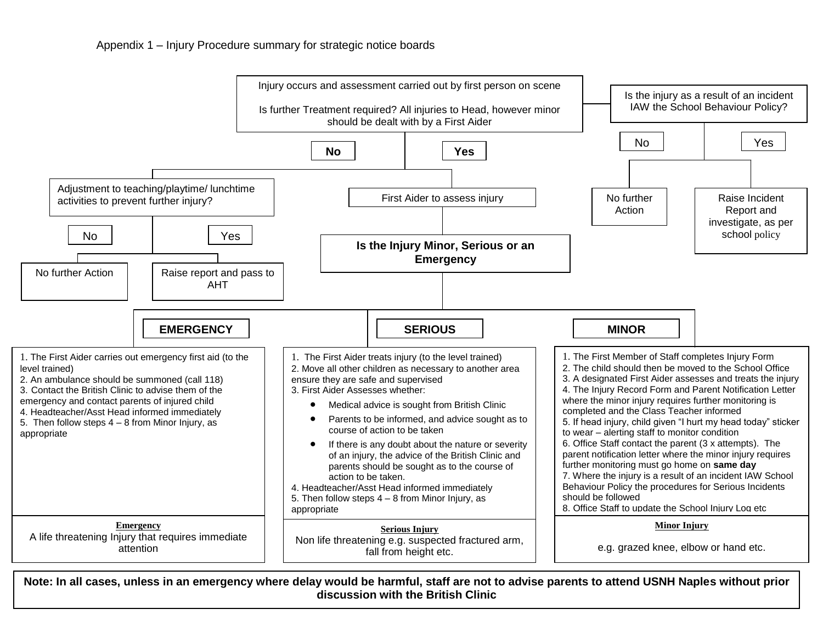

5 **discussion with the British ClinicNote: In all cases, unless in an emergency where delay would be harmful, staff are not to advise parents to attend USNH Naples without prior**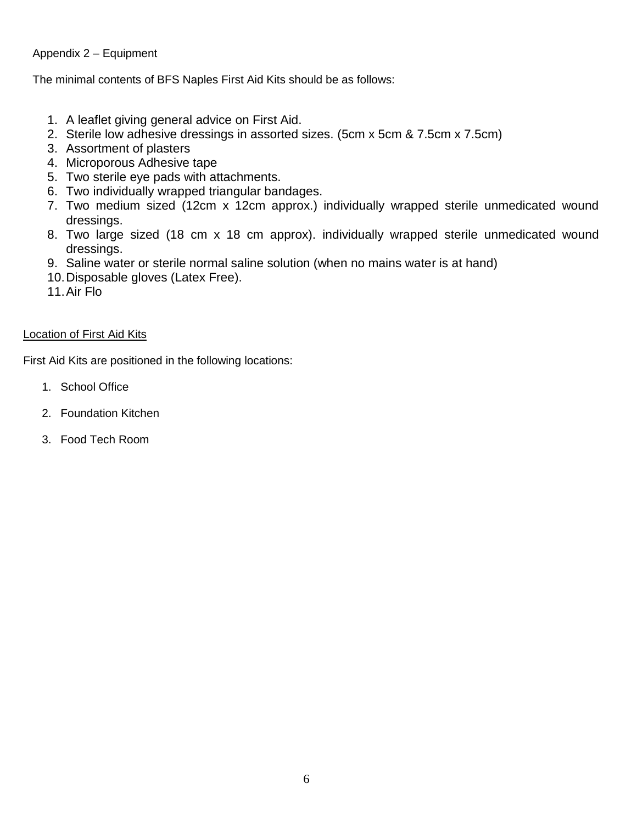## Appendix 2 – Equipment

The minimal contents of BFS Naples First Aid Kits should be as follows:

- 1. A leaflet giving general advice on First Aid.
- 2. Sterile low adhesive dressings in assorted sizes. (5cm x 5cm & 7.5cm x 7.5cm)
- 3. Assortment of plasters
- 4. Microporous Adhesive tape
- 5. Two sterile eye pads with attachments.
- 6. Two individually wrapped triangular bandages.
- 7. Two medium sized (12cm x 12cm approx.) individually wrapped sterile unmedicated wound dressings.
- 8. Two large sized (18 cm x 18 cm approx). individually wrapped sterile unmedicated wound dressings.
- 9. Saline water or sterile normal saline solution (when no mains water is at hand)
- 10.Disposable gloves (Latex Free).
- 11.Air Flo

## Location of First Aid Kits

First Aid Kits are positioned in the following locations:

- 1. School Office
- 2. Foundation Kitchen
- 3. Food Tech Room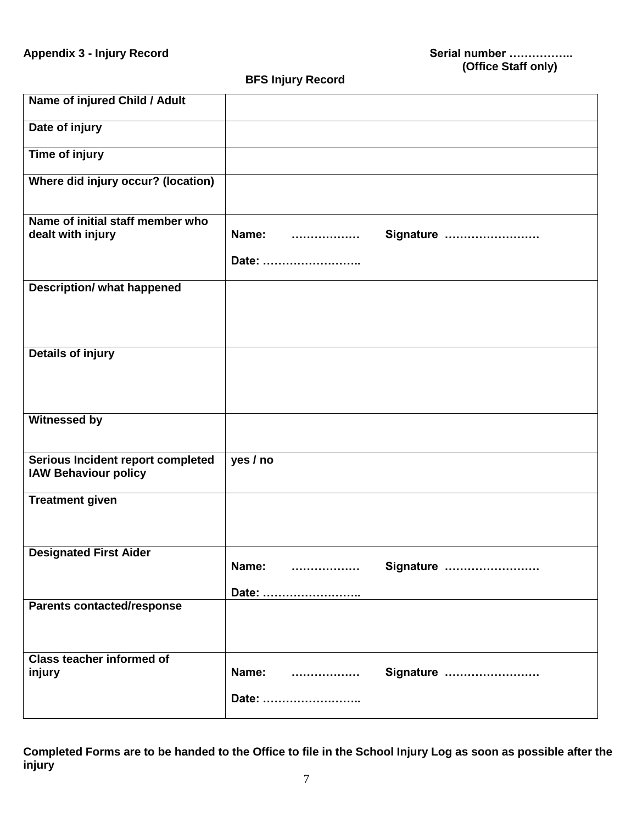**BFS Injury Record** 

| Name of injured Child / Adult                                    |                                 |
|------------------------------------------------------------------|---------------------------------|
| Date of injury                                                   |                                 |
| <b>Time of injury</b>                                            |                                 |
| Where did injury occur? (location)                               |                                 |
| Name of initial staff member who<br>dealt with injury            | Name:<br>Signature<br>          |
|                                                                  | Date:                           |
| <b>Description/ what happened</b>                                |                                 |
| <b>Details of injury</b>                                         |                                 |
| <b>Witnessed by</b>                                              |                                 |
| Serious Incident report completed<br><b>IAW Behaviour policy</b> | yes / no                        |
| <b>Treatment given</b>                                           |                                 |
| <b>Designated First Aider</b>                                    | Name:<br>Signature<br>.         |
| <b>Parents contacted/response</b>                                | Date:                           |
| <b>Class teacher informed of</b><br>injury                       | Name:<br>Signature<br><br>Date: |

**Completed Forms are to be handed to the Office to file in the School Injury Log as soon as possible after the injury**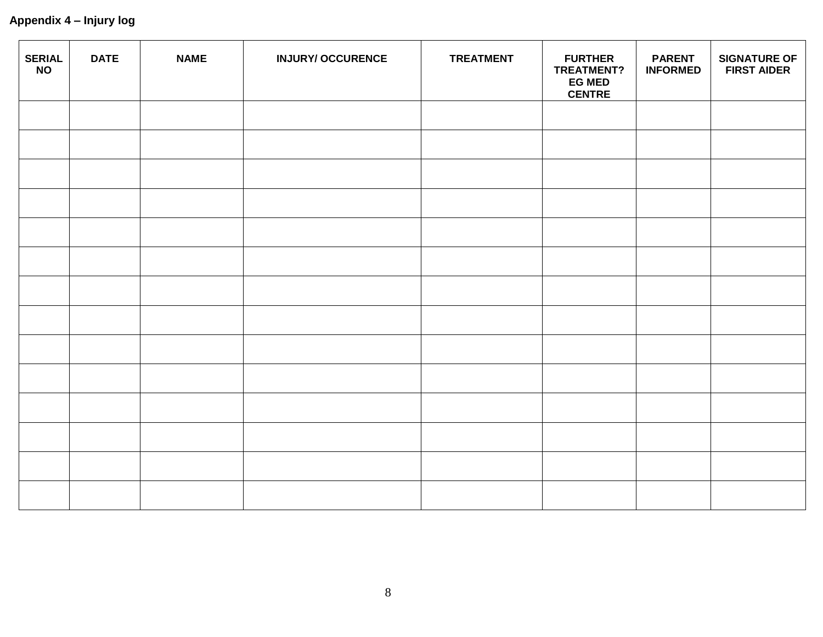| <b>SERIAL</b><br><b>NO</b> | <b>DATE</b> | <b>NAME</b> | <b>INJURY/ OCCURENCE</b> | <b>TREATMENT</b> | <b>FURTHER</b><br><b>TREATMENT?</b><br><b>EG MED</b><br><b>CENTRE</b> | <b>PARENT</b><br><b>INFORMED</b> | <b>SIGNATURE OF</b><br><b>FIRST AIDER</b> |
|----------------------------|-------------|-------------|--------------------------|------------------|-----------------------------------------------------------------------|----------------------------------|-------------------------------------------|
|                            |             |             |                          |                  |                                                                       |                                  |                                           |
|                            |             |             |                          |                  |                                                                       |                                  |                                           |
|                            |             |             |                          |                  |                                                                       |                                  |                                           |
|                            |             |             |                          |                  |                                                                       |                                  |                                           |
|                            |             |             |                          |                  |                                                                       |                                  |                                           |
|                            |             |             |                          |                  |                                                                       |                                  |                                           |
|                            |             |             |                          |                  |                                                                       |                                  |                                           |
|                            |             |             |                          |                  |                                                                       |                                  |                                           |
|                            |             |             |                          |                  |                                                                       |                                  |                                           |
|                            |             |             |                          |                  |                                                                       |                                  |                                           |
|                            |             |             |                          |                  |                                                                       |                                  |                                           |
|                            |             |             |                          |                  |                                                                       |                                  |                                           |
|                            |             |             |                          |                  |                                                                       |                                  |                                           |
|                            |             |             |                          |                  |                                                                       |                                  |                                           |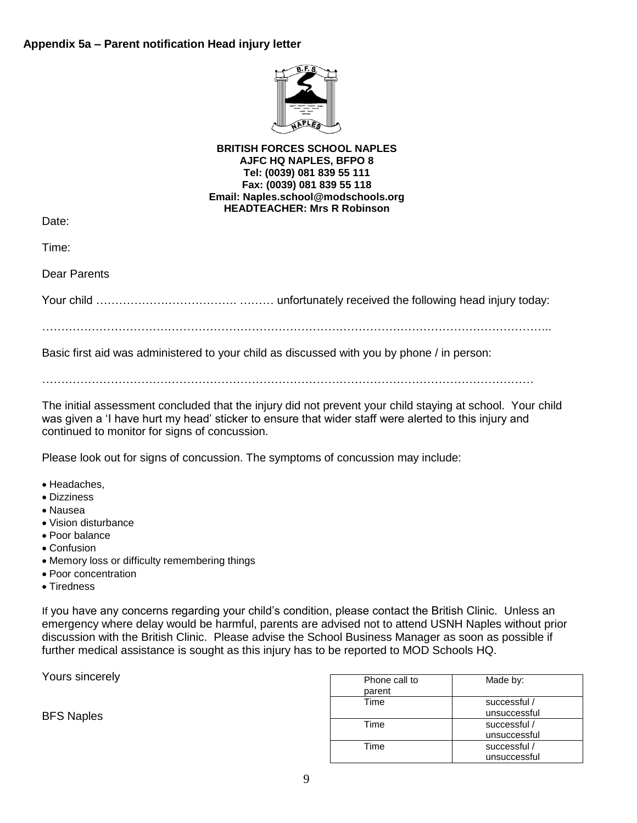

#### **BRITISH FORCES SCHOOL NAPLES AJFC HQ NAPLES, BFPO 8 Tel: (0039) 081 839 55 111 Fax: (0039) 081 839 55 118 Email: Naples.school@modschools.org HEADTEACHER: Mrs R Robinson**

Date:

Time:

Dear Parents

Your child ………………………………. ……… unfortunately received the following head injury today:

……………………………………………………………………………………………………………………..

Basic first aid was administered to your child as discussed with you by phone / in person:

 $\mathcal{L}^{\text{max}}_{\text{max}}$ 

The initial assessment concluded that the injury did not prevent your child staying at school. Your child was given a 'I have hurt my head' sticker to ensure that wider staff were alerted to this injury and continued to monitor for signs of concussion.

Please look out for signs of concussion. The symptoms of concussion may include:

- Headaches,
- Dizziness
- Nausea
- Vision disturbance
- Poor balance
- Confusion
- Memory loss or difficulty remembering things
- Poor concentration
- Tiredness

If you have any concerns regarding your child's condition, please contact the British Clinic. Unless an emergency where delay would be harmful, parents are advised not to attend USNH Naples without prior discussion with the British Clinic. Please advise the School Business Manager as soon as possible if further medical assistance is sought as this injury has to be reported to MOD Schools HQ.

Yours sincerely

BFS Naples

| Phone call to | Made by:     |
|---------------|--------------|
| parent        |              |
| Time          | successful / |
|               | unsuccessful |
| Time          | successful / |
|               | unsuccessful |
| Time          | successful / |
|               | unsuccessful |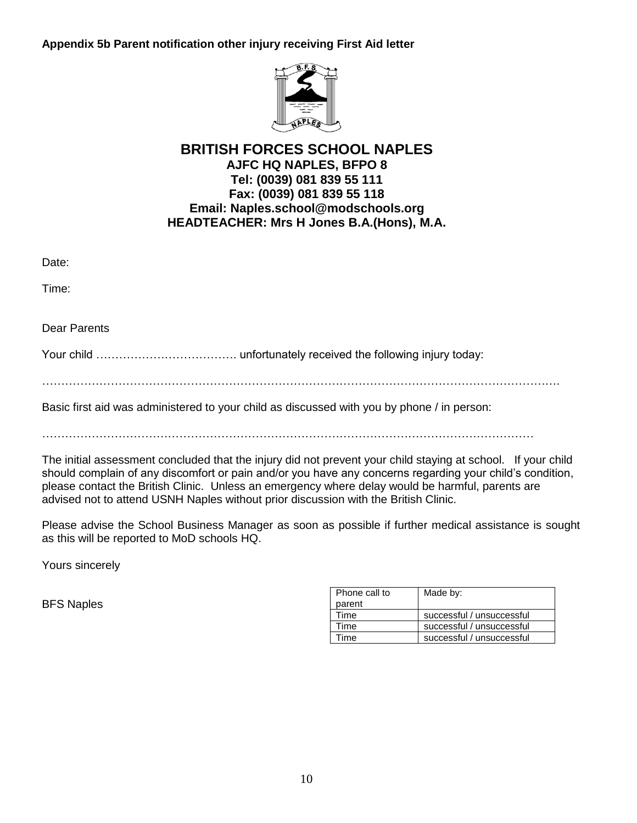**Appendix 5b Parent notification other injury receiving First Aid letter**



# **BRITISH FORCES SCHOOL NAPLES AJFC HQ NAPLES, BFPO 8 Tel: (0039) 081 839 55 111 Fax: (0039) 081 839 55 118 Email: Naples.school@modschools.org HEADTEACHER: Mrs H Jones B.A.(Hons), M.A.**

Date:

Time:

Dear Parents

Your child ………………………………. unfortunately received the following injury today:

……………………………………………………………………………………………………………………….

Basic first aid was administered to your child as discussed with you by phone / in person:

…………………………………………………………………………………………………………………

The initial assessment concluded that the injury did not prevent your child staying at school. If your child should complain of any discomfort or pain and/or you have any concerns regarding your child's condition, please contact the British Clinic. Unless an emergency where delay would be harmful, parents are advised not to attend USNH Naples without prior discussion with the British Clinic.

Please advise the School Business Manager as soon as possible if further medical assistance is sought as this will be reported to MoD schools HQ.

Yours sincerely

BFS Naples

| Phone call to<br>parent | Made by:                  |
|-------------------------|---------------------------|
| Time                    | successful / unsuccessful |
| Time                    | successful / unsuccessful |
| .ime                    | successful / unsuccessful |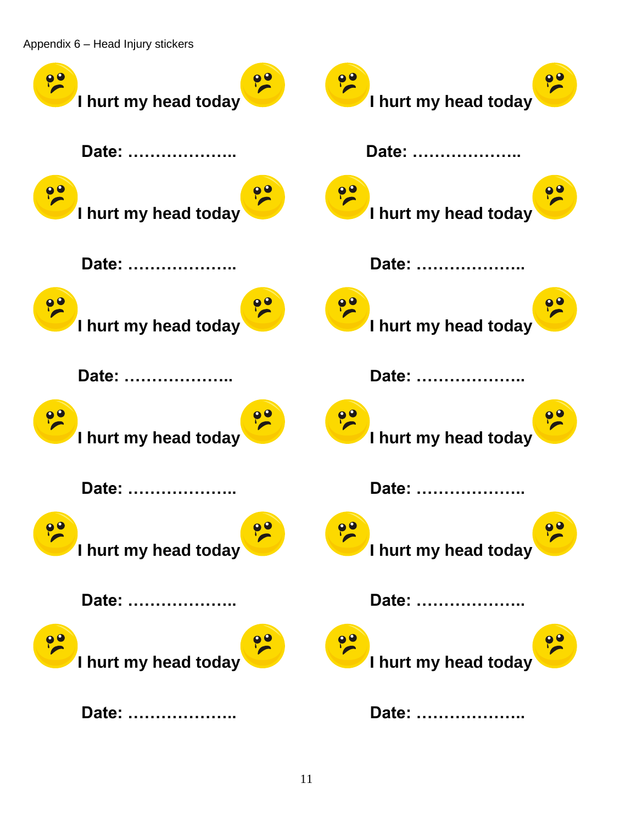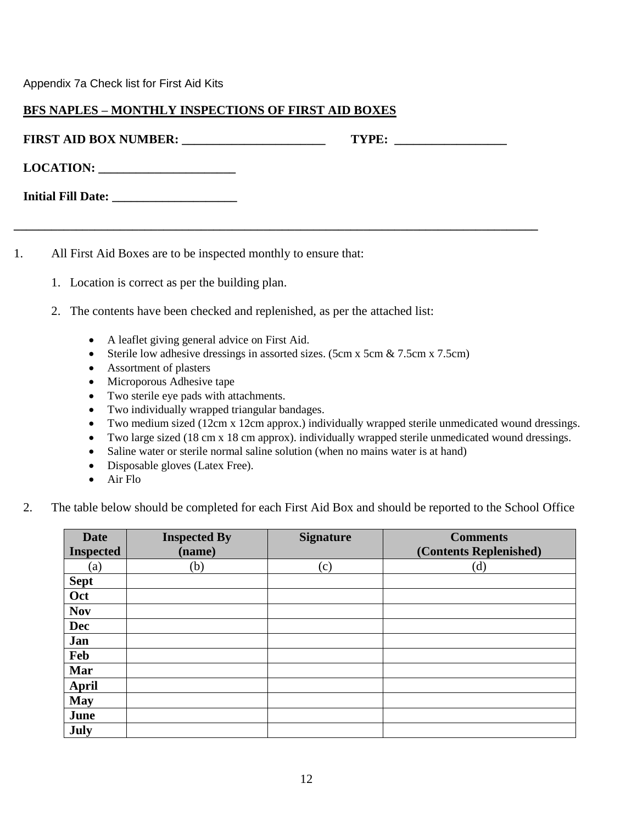Appendix 7a Check list for First Aid Kits

## **BFS NAPLES – MONTHLY INSPECTIONS OF FIRST AID BOXES**

| <b>FIRST AID BOX NUMBER:</b> | TWDT |
|------------------------------|------|
|                              |      |

**\_\_\_\_\_\_\_\_\_\_\_\_\_\_\_\_\_\_\_\_\_\_\_\_\_\_\_\_\_\_\_\_\_\_\_\_\_\_\_\_\_\_\_\_\_\_\_\_\_\_\_\_\_\_\_\_\_\_\_\_\_\_\_\_\_\_\_\_\_\_\_\_\_\_\_\_\_\_\_\_\_\_\_\_**

| <b>LOCATION:</b> |  |
|------------------|--|
|                  |  |

| <b>Initial Fill Date:</b> |
|---------------------------|
|---------------------------|

- 1. All First Aid Boxes are to be inspected monthly to ensure that:
	- 1. Location is correct as per the building plan.
	- 2. The contents have been checked and replenished, as per the attached list:
		- A leaflet giving general advice on First Aid.
		- Sterile low adhesive dressings in assorted sizes. (5cm x 5cm & 7.5cm x 7.5cm)
		- Assortment of plasters
		- Microporous Adhesive tape
		- Two sterile eye pads with attachments.
		- Two individually wrapped triangular bandages.
		- Two medium sized (12cm x 12cm approx.) individually wrapped sterile unmedicated wound dressings.
		- Two large sized (18 cm x 18 cm approx). individually wrapped sterile unmedicated wound dressings.
		- Saline water or sterile normal saline solution (when no mains water is at hand)
		- Disposable gloves (Latex Free).
		- Air Flo
	- 2. The table below should be completed for each First Aid Box and should be reported to the School Office

| <b>Date</b><br><b>Inspected</b> | <b>Inspected By</b><br>(name) | <b>Signature</b> | <b>Comments</b><br>(Contents Replenished) |
|---------------------------------|-------------------------------|------------------|-------------------------------------------|
| (a)                             | (b)                           | (c)              | (d)                                       |
| <b>Sept</b>                     |                               |                  |                                           |
| Oct                             |                               |                  |                                           |
| <b>Nov</b>                      |                               |                  |                                           |
| <b>Dec</b>                      |                               |                  |                                           |
| Jan                             |                               |                  |                                           |
| Feb                             |                               |                  |                                           |
| Mar                             |                               |                  |                                           |
| <b>April</b>                    |                               |                  |                                           |
| <b>May</b>                      |                               |                  |                                           |
| June                            |                               |                  |                                           |
| <b>July</b>                     |                               |                  |                                           |